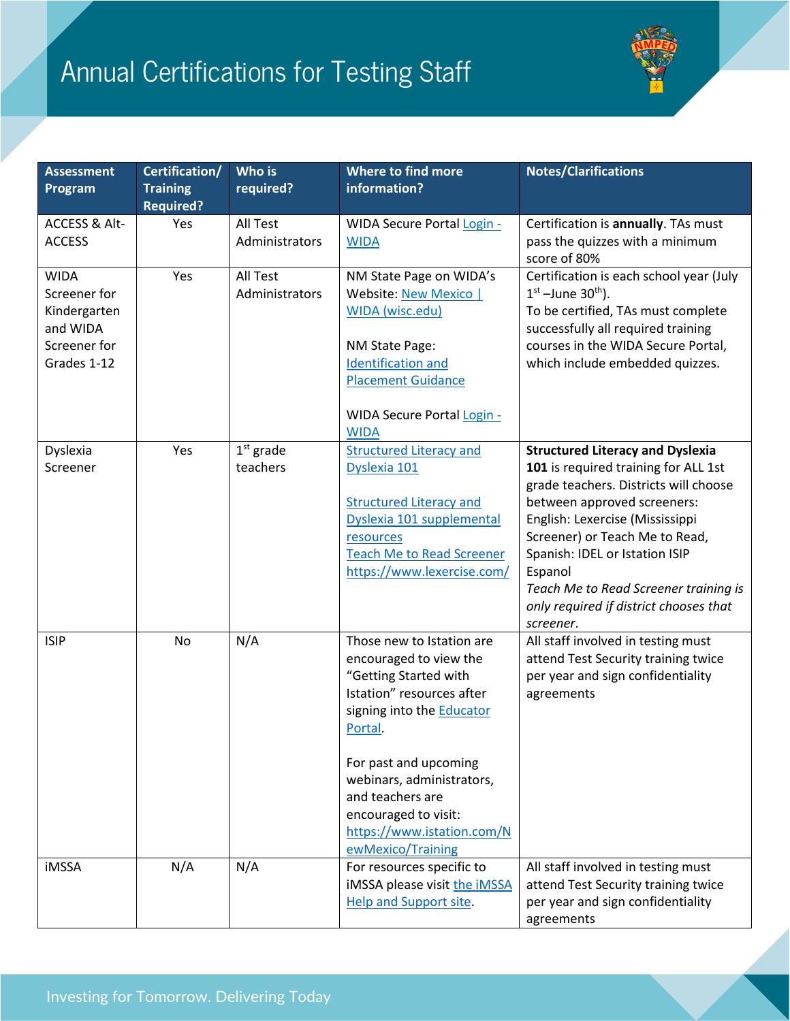## Annual Certifications for Testing Staff



| <b>Assessment</b><br>Program                                                           | Certification/<br><b>Training</b><br><b>Required?</b> | Who is<br>required?        | Where to find more<br>information?                                                                                                                                                                                                                                                                            | <b>Notes/Clarifications</b>                                                                                                                                                                                                                                                                                                                                               |
|----------------------------------------------------------------------------------------|-------------------------------------------------------|----------------------------|---------------------------------------------------------------------------------------------------------------------------------------------------------------------------------------------------------------------------------------------------------------------------------------------------------------|---------------------------------------------------------------------------------------------------------------------------------------------------------------------------------------------------------------------------------------------------------------------------------------------------------------------------------------------------------------------------|
| <b>ACCESS &amp; Alt-</b><br><b>ACCESS</b>                                              | Yes                                                   | All Test<br>Administrators | <b>WIDA Secure Portal Login -</b><br><b>WIDA</b>                                                                                                                                                                                                                                                              | Certification is annually. TAs must<br>pass the quizzes with a minimum<br>score of 80%                                                                                                                                                                                                                                                                                    |
| <b>WIDA</b><br>Screener for<br>Kindergarten<br>and WIDA<br>Screener for<br>Grades 1-12 | Yes                                                   | All Test<br>Administrators | NM State Page on WIDA's<br>Website: New Mexico  <br>WIDA (wisc.edu)<br>NM State Page:<br><b>Identification and</b><br><b>Placement Guidance</b><br><b>WIDA Secure Portal Login -</b><br><b>WIDA</b>                                                                                                           | Certification is each school year (July<br>$1st$ –June 30 <sup>th</sup> ).<br>To be certified, TAs must complete<br>successfully all required training<br>courses in the WIDA Secure Portal,<br>which include embedded quizzes.                                                                                                                                           |
| Dyslexia<br>Screener                                                                   | Yes                                                   | $1st$ grade<br>teachers    | <b>Structured Literacy and</b><br>Dyslexia 101<br><b>Structured Literacy and</b><br>Dyslexia 101 supplemental<br>resources<br><b>Teach Me to Read Screener</b><br>https://www.lexercise.com/                                                                                                                  | <b>Structured Literacy and Dyslexia</b><br>101 is required training for ALL 1st<br>grade teachers. Districts will choose<br>between approved screeners:<br>English: Lexercise (Mississippi<br>Screener) or Teach Me to Read,<br>Spanish: IDEL or Istation ISIP<br>Espanol<br>Teach Me to Read Screener training is<br>only required if district chooses that<br>screener. |
| <b>ISIP</b>                                                                            | No                                                    | N/A                        | Those new to Istation are<br>encouraged to view the<br>"Getting Started with<br>Istation" resources after<br>signing into the <b>Educator</b><br>Portal.<br>For past and upcoming<br>webinars, administrators,<br>and teachers are<br>encouraged to visit:<br>https://www.istation.com/N<br>ewMexico/Training | All staff involved in testing must<br>attend Test Security training twice<br>per year and sign confidentiality<br>agreements                                                                                                                                                                                                                                              |
| <b>iMSSA</b>                                                                           | N/A                                                   | N/A                        | For resources specific to<br>iMSSA please visit the iMSSA<br><b>Help and Support site.</b>                                                                                                                                                                                                                    | All staff involved in testing must<br>attend Test Security training twice<br>per year and sign confidentiality<br>agreements                                                                                                                                                                                                                                              |